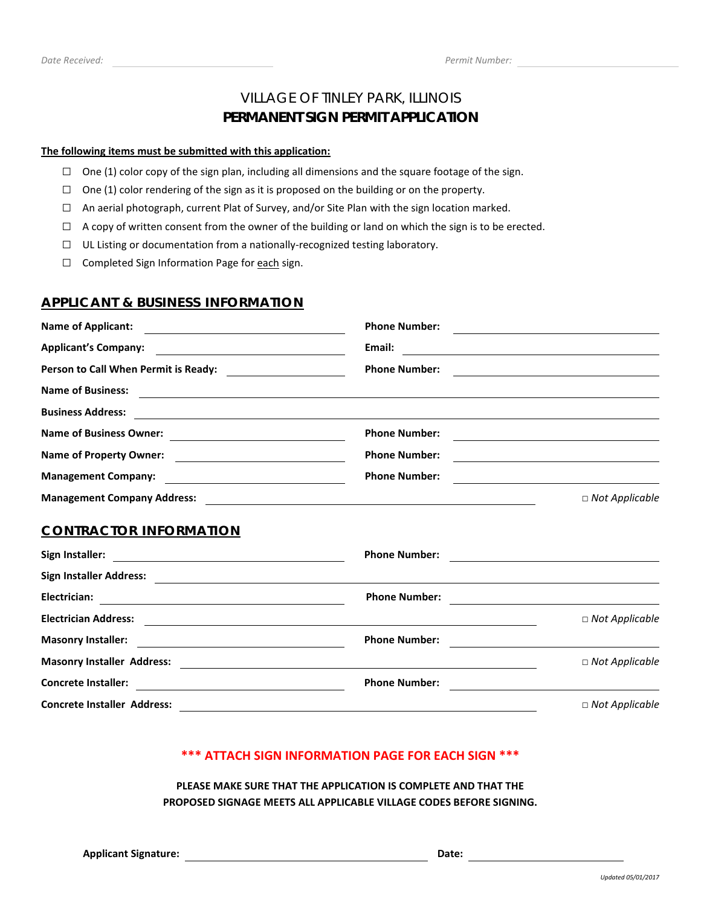### VILLAGE OF TINLEY PARK, ILLINOIS **PERMANENT SIGN PERMIT APPLICATION**

#### **The following items must be submitted with this application:**

- $\Box$  One (1) color copy of the sign plan, including all dimensions and the square footage of the sign.
- $\Box$  One (1) color rendering of the sign as it is proposed on the building or on the property.
- $\Box$  An aerial photograph, current Plat of Survey, and/or Site Plan with the sign location marked.
- $\Box$  A copy of written consent from the owner of the building or land on which the sign is to be erected.
- □ UL Listing or documentation from a nationally-recognized testing laboratory.
- □ Completed Sign Information Page for each sign.

### **APPLICANT & BUSINESS INFORMATION**

| <b>Name of Applicant:</b>                                                                                                                                                                                                                                           | <b>Phone Number:</b>                                                                                                 | <u> 1989 - Johann Stein, mars an deus Amerikaansk kommunister (</u>                                                   |  |  |
|---------------------------------------------------------------------------------------------------------------------------------------------------------------------------------------------------------------------------------------------------------------------|----------------------------------------------------------------------------------------------------------------------|-----------------------------------------------------------------------------------------------------------------------|--|--|
| <b>Applicant's Company:</b><br><u> 1989 - Johann Stoff, deutscher Stoffen und der Stoffen und der Stoffen und der Stoffen und der Stoffen und der Stoffen und der Stoffen und der Stoffen und der Stoffen und der Stoffen und der Stoffen und der Stoffen und d</u> | Email:                                                                                                               |                                                                                                                       |  |  |
|                                                                                                                                                                                                                                                                     | <b>Phone Number:</b>                                                                                                 | <u> 1980 - Andrea Station Barbara, amerikan personal (h. 1980).</u>                                                   |  |  |
|                                                                                                                                                                                                                                                                     |                                                                                                                      |                                                                                                                       |  |  |
| <b>Business Address:</b>                                                                                                                                                                                                                                            | <u> 1989 - Johann Barnett, fransk politik (d. 1989)</u>                                                              |                                                                                                                       |  |  |
|                                                                                                                                                                                                                                                                     | <b>Phone Number:</b>                                                                                                 | <u> 1989 - Johann Barn, amerikansk politiker (d. 1989)</u>                                                            |  |  |
|                                                                                                                                                                                                                                                                     | <b>Phone Number:</b>                                                                                                 |                                                                                                                       |  |  |
| <b>Management Company:</b><br><u> Alexandria de la contrada de la contrada de la contrada de la contrada de la contrada de la contrada de la c</u>                                                                                                                  | <b>Phone Number:</b>                                                                                                 | <u> 1989 - Johann Stoff, Amerikaansk politiker († 1908)</u>                                                           |  |  |
|                                                                                                                                                                                                                                                                     |                                                                                                                      | $\Box$ Not Applicable                                                                                                 |  |  |
| <b>CONTRACTOR INFORMATION</b>                                                                                                                                                                                                                                       |                                                                                                                      |                                                                                                                       |  |  |
|                                                                                                                                                                                                                                                                     | <b>Phone Number:</b>                                                                                                 | <u> 1980 - Andrea Albert III, politik a postal de la provincia de la provincia de la provincia de la provincia d</u>  |  |  |
| Sign Installer Address: <u>2000 Communications of the State of Additional State of Additional State of Address</u>                                                                                                                                                  |                                                                                                                      |                                                                                                                       |  |  |
| Electrician:<br><u> 1989 - Jan Samuel Barbara, margaret eta idazlea (h. 1982).</u>                                                                                                                                                                                  | <b>Phone Number:</b>                                                                                                 | <u> 1980 - Jan Barat, margaret amerikan basal dan berasal dan berasal dan berasal dan berasal dan berasal dan ber</u> |  |  |
| <b>Electrician Address:</b>                                                                                                                                                                                                                                         | <u> Alexandria de la contrada de la contrada de la contrada de la contrada de la contrada de la contrada de la c</u> | $\Box$ Not Applicable                                                                                                 |  |  |
| <b>Masonry Installer:</b>                                                                                                                                                                                                                                           | <b>Phone Number:</b>                                                                                                 | <u> 1980 - Andrea Stadt Britain, amerikan bestean ingilang pada sebagai pada sebagai pada sebagai pada sebagai pa</u> |  |  |
| Masonry Installer Address: National Address and Address and Address and Address and Address and Address and Address and Address and Address and Address and Address and Address and Address and Address and Address and Addres                                      |                                                                                                                      | $\Box$ Not Applicable                                                                                                 |  |  |
| <b>Concrete Installer:</b><br><u> 1989 - Johann Barn, fransk politik fotograf (d. 1989)</u>                                                                                                                                                                         | <b>Phone Number:</b>                                                                                                 | <u> 1980 - Andrea Stadt Britain, marwolaeth a bhliain 1980 - An t-An Aonaichte ann an t-An Aonaichte ann an t-An</u>  |  |  |
| <b>Concrete Installer Address:</b>                                                                                                                                                                                                                                  |                                                                                                                      | $\Box$ Not Applicable                                                                                                 |  |  |

### **\*\*\* ATTACH SIGN INFORMATION PAGE FOR EACH SIGN \*\*\***

**PLEASE MAKE SURE THAT THE APPLICATION IS COMPLETE AND THAT THE PROPOSED SIGNAGE MEETS ALL APPLICABLE VILLAGE CODES BEFORE SIGNING.**